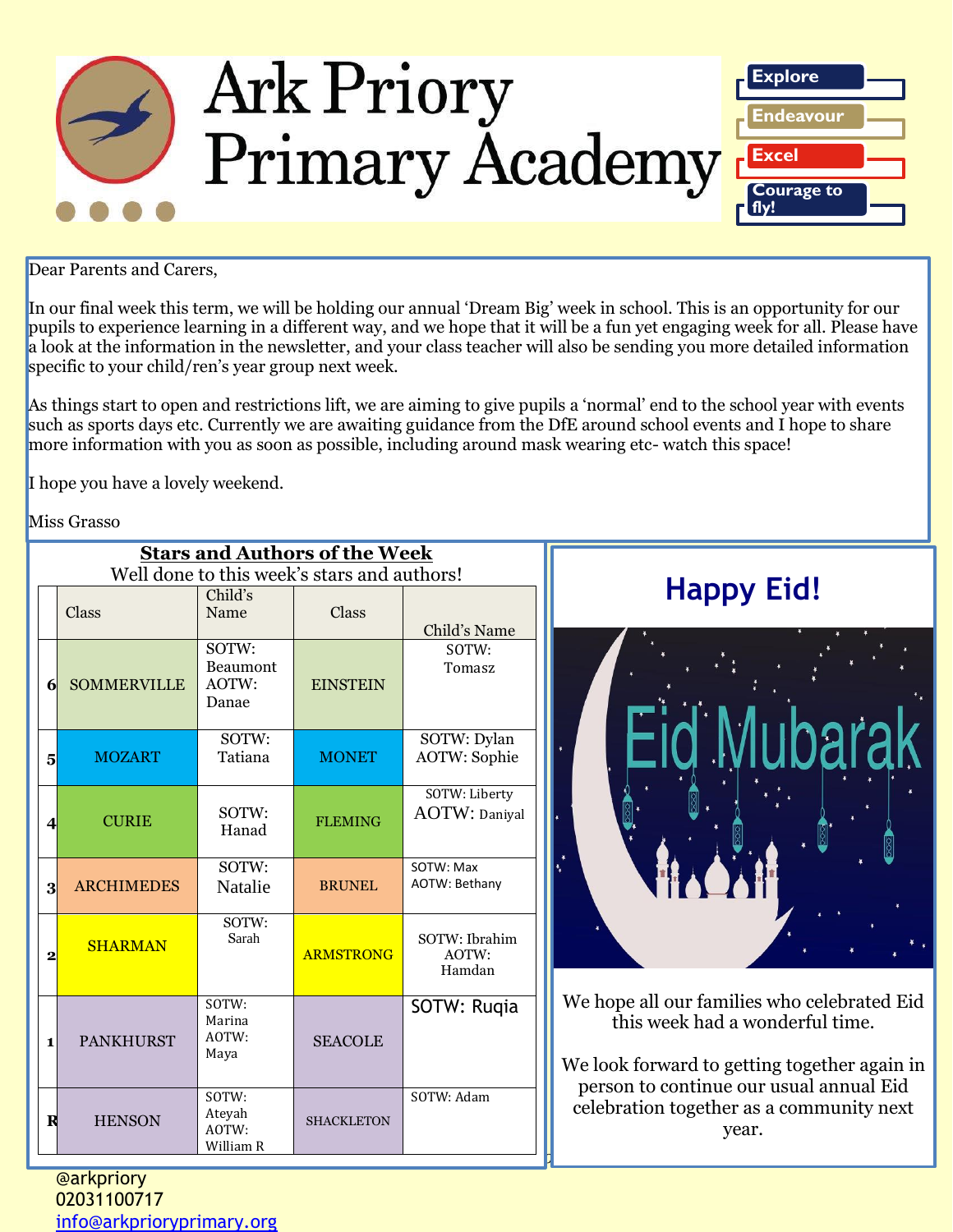

Dear Parents and Carers,

In our final week this term, we will be holding our annual 'Dream Big' week in school. This is an opportunity for our pupils to experience learning in a different way, and we hope that it will be a fun yet engaging week for all. Please have a look at the information in the newsletter, and your class teacher will also be sending you more detailed information specific to your child/ren's year group next week.

As things start to open and restrictions lift, we are aiming to give pupils a 'normal' end to the school year with events such as sports days etc. Currently we are awaiting guidance from the DfE around school events and I hope to share more information with you as soon as possible, including around mask wearing etc- watch this space!

I hope you have a lovely weekend.

Miss Grasso

|                         | <b>Stars and Authors of the Week</b>        |                                       |                   |                                       |                                                                                                                |
|-------------------------|---------------------------------------------|---------------------------------------|-------------------|---------------------------------------|----------------------------------------------------------------------------------------------------------------|
|                         | Well done to this week's stars and authors! |                                       |                   |                                       |                                                                                                                |
|                         | Class                                       | Child's<br>Name                       | Class             | Child's Name                          | <b>Happy E</b>                                                                                                 |
| 6 <sup>l</sup>          | <b>SOMMERVILLE</b>                          | SOTW:<br>Beaumont<br>AOTW:<br>Danae   | <b>EINSTEIN</b>   | SOTW:<br>Tomasz                       |                                                                                                                |
| 5 <sup>1</sup>          | <b>MOZART</b>                               | SOTW:<br>Tatiana                      | <b>MONET</b>      | SOTW: Dylan<br><b>AOTW: Sophie</b>    |                                                                                                                |
| $\overline{4}$          | <b>CURIE</b>                                | SOTW:<br>Hanad                        | <b>FLEMING</b>    | SOTW: Liberty<br><b>AOTW: Daniyal</b> |                                                                                                                |
| $\mathbf{3}$            | <b>ARCHIMEDES</b>                           | SOTW:<br>Natalie                      | <b>BRUNEL</b>     | SOTW: Max<br>AOTW: Bethany            |                                                                                                                |
| $\overline{\mathbf{2}}$ | <b>SHARMAN</b>                              | SOTW:<br>Sarah                        | <b>ARMSTRONG</b>  | SOTW: Ibrahim<br>AOTW:<br>Hamdan      |                                                                                                                |
| 1                       | <b>PANKHURST</b>                            | SOTW:<br>Marina<br>AOTW:<br>Maya      | <b>SEACOLE</b>    | SOTW: Rugia                           | We hope all our families wl<br>this week had a wond<br>We look forward to getting<br>person to continue our us |
| $\mathbf R$             | <b>HENSON</b>                               | SOTW:<br>Ateyah<br>AOTW:<br>William R | <b>SHACKLETON</b> | SOTW: Adam                            | celebration together as a<br>year.                                                                             |

# **Happy Eid!**

We hope all our families who celebrated Eid this week had a wonderful time.

We look forward to getting together again in person to continue our usual annual Eid celebration together as a community next year.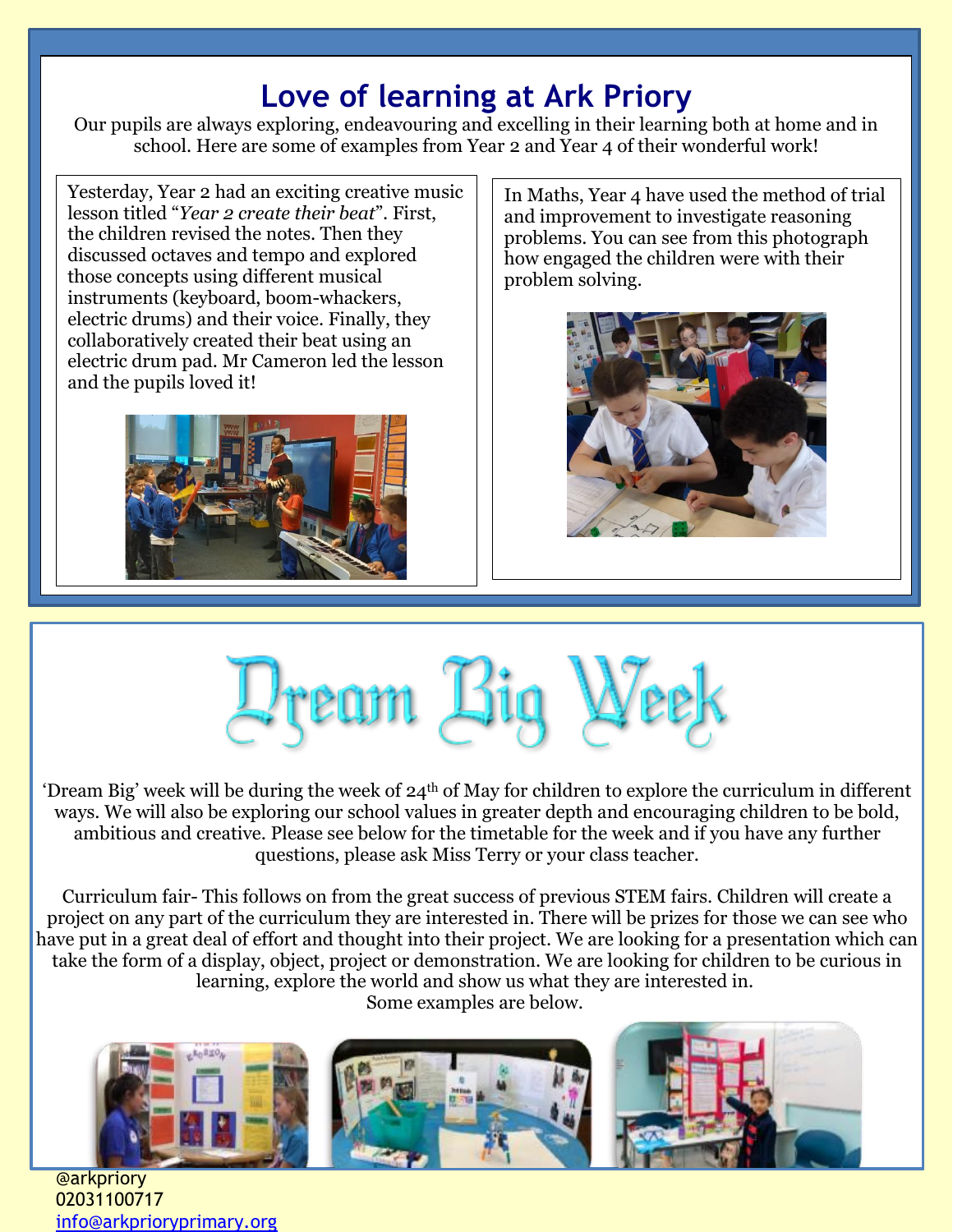# **Love of learning at Ark Priory**

Our pupils are always exploring, endeavouring and excelling in their learning both at home and in school. Here are some of examples from Year 2 and Year 4 of their wonderful work!

Yesterday, Year 2 had an exciting creative music lesson titled "*Year 2 create their beat*". First, the children revised the notes. Then they discussed octaves and tempo and explored those concepts using different musical instruments (keyboard, boom-whackers, electric drums) and their voice. Finally, they collaboratively created their beat using an electric drum pad. Mr Cameron led the lesson and the pupils loved it!



In Maths, Year 4 have used the method of trial and improvement to investigate reasoning problems. You can see from this photograph how engaged the children were with their problem solving.





'Dream Big' week will be during the week of 24th of May for children to explore the curriculum in different ways. We will also be exploring our school values in greater depth and encouraging children to be bold, ambitious and creative. Please see below for the timetable for the week and if you have any further questions, please ask Miss Terry or your class teacher.

Curriculum fair- This follows on from the great success of previous STEM fairs. Children will create a project on any part of the curriculum they are interested in. There will be prizes for those we can see who have put in a great deal of effort and thought into their project. We are looking for a presentation which can take the form of a display, object, project or demonstration. We are looking for children to be curious in learning, explore the world and show us what they are interested in.

Some examples are below.



@arkpriory 02031100717 [info@arkprioryprimary.org](mailto:info@arkprioryprimary.org)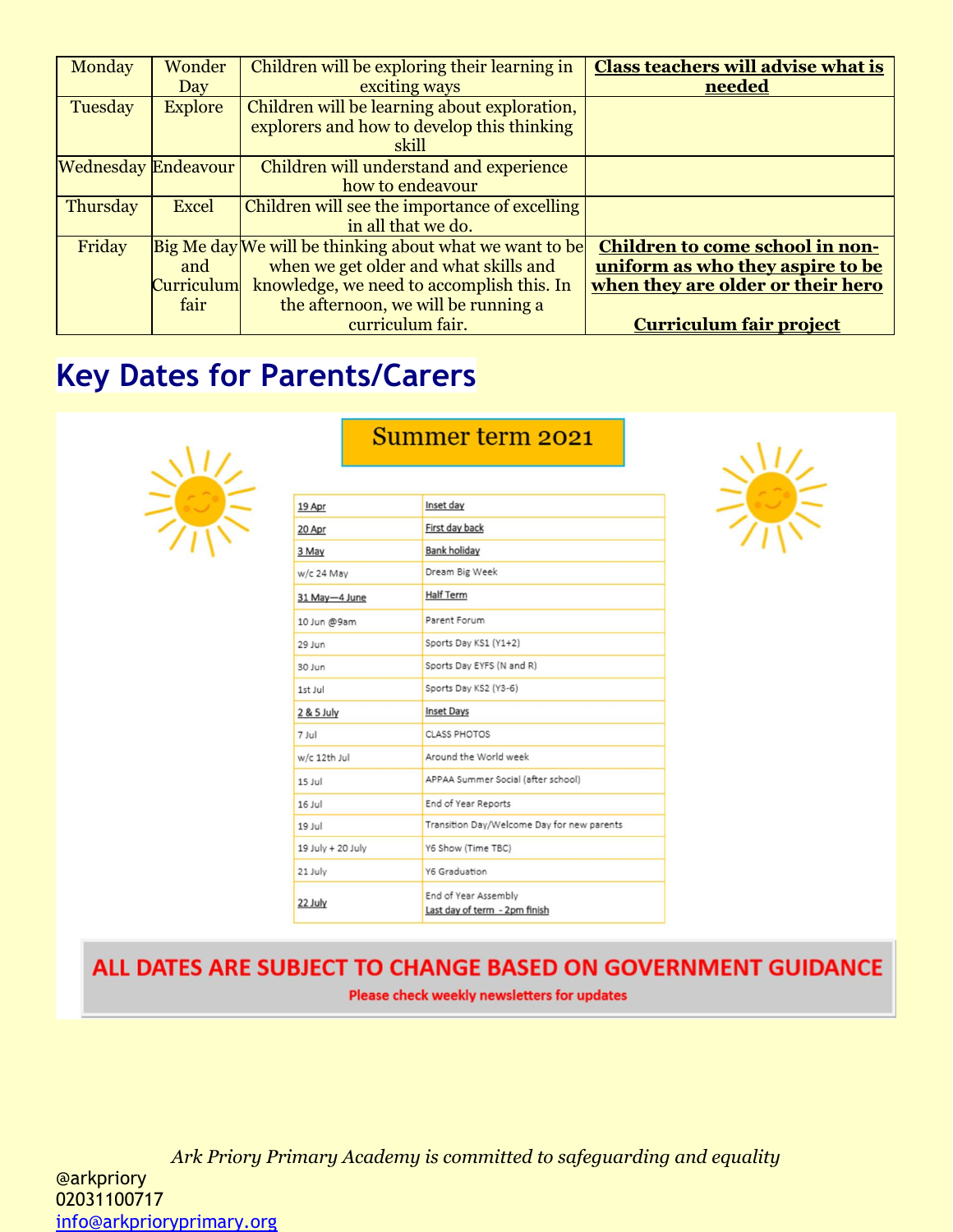| Monday                     | Wonder            | Children will be exploring their learning in            | <b>Class teachers will advise what is</b> |
|----------------------------|-------------------|---------------------------------------------------------|-------------------------------------------|
|                            | Day               | exciting ways                                           | needed                                    |
| Tuesday                    | <b>Explore</b>    | Children will be learning about exploration,            |                                           |
|                            |                   | explorers and how to develop this thinking              |                                           |
|                            |                   | skill                                                   |                                           |
| <b>Wednesday Endeavour</b> |                   | Children will understand and experience                 |                                           |
|                            |                   | how to endeavour                                        |                                           |
| Thursday                   | <b>Excel</b>      | Children will see the importance of excelling           |                                           |
|                            |                   | in all that we do.                                      |                                           |
| Friday                     |                   | Big Me day We will be thinking about what we want to be | Children to come school in non-           |
|                            | and               | when we get older and what skills and                   | uniform as who they aspire to be          |
|                            | <b>Curriculum</b> | knowledge, we need to accomplish this. In               | when they are older or their hero         |
|                            | fair              | the afternoon, we will be running a                     |                                           |
|                            |                   | curriculum fair.                                        | <b>Curriculum fair project</b>            |

# **Key Dates for Parents/Carers**



### Summer term 2021

| Inset day                                             |
|-------------------------------------------------------|
| First day back                                        |
| <b>Bank holiday</b>                                   |
| Dream Big Week                                        |
| <b>Half Term</b>                                      |
| Parent Forum                                          |
| Sports Day KS1 (Y1+2)                                 |
| Sports Day EYFS (N and R)                             |
| Sports Day KS2 (Y3-6)                                 |
| <b>Inset Days</b>                                     |
| <b>CLASS PHOTOS</b>                                   |
| Around the World week                                 |
| APPAA Summer Social (after school)                    |
| End of Year Reports                                   |
| Transition Day/Welcome Day for new parents            |
| Y6 Show (Time TBC)                                    |
| Y6 Graduation                                         |
| End of Year Assembly<br>Last day of term - 2pm finish |
|                                                       |



# ALL DATES ARE SUBJECT TO CHANGE BASED ON GOVERNMENT GUIDANCE

Please check weekly newsletters for updates

*Ark Priory Primary Academy is committed to safeguarding and equality*  @arkpriory 02031100717 [info@arkprioryprimary.org](mailto:info@arkprioryprimary.org)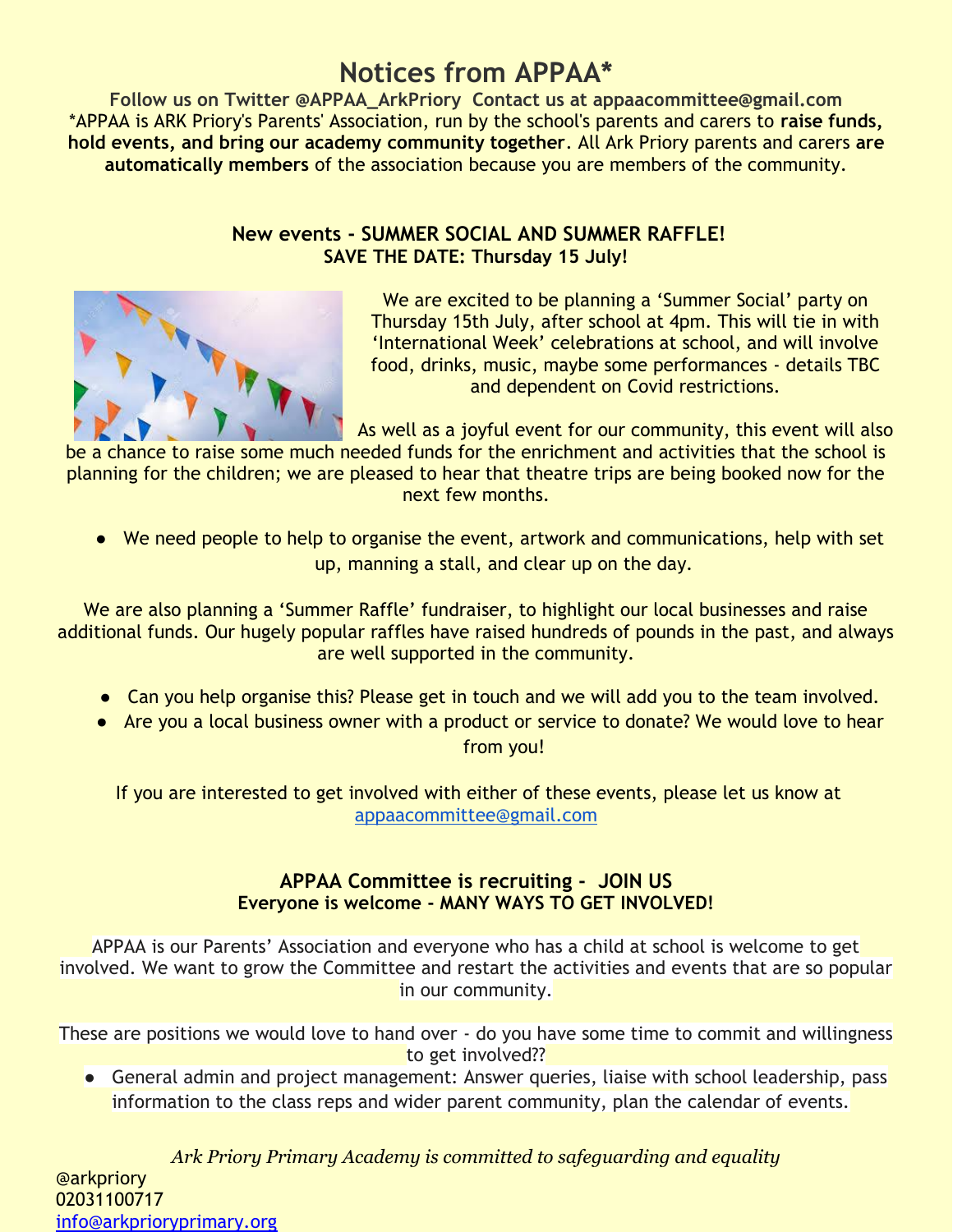## **Notices from APPAA\***

**Follow us on Twitter @APPAA\_ArkPriory Contact us at appaacommittee@gmail.com** \*APPAA is ARK Priory's Parents' Association, run by the school's parents and carers to **raise funds, hold events, and bring our academy community together**. All Ark Priory parents and carers **are automatically members** of the association because you are members of the community.

### **New events - SUMMER SOCIAL AND SUMMER RAFFLE! SAVE THE DATE: Thursday 15 July!**



We are excited to be planning a 'Summer Social' party on Thursday 15th July, after school at 4pm. This will tie in with 'International Week' celebrations at school, and will involve food, drinks, music, maybe some performances - details TBC and dependent on Covid restrictions.

As well as a joyful event for our community, this event will also

be a chance to raise some much needed funds for the enrichment and activities that the school is planning for the children; we are pleased to hear that theatre trips are being booked now for the next few months.

● We need people to help to organise the event, artwork and communications, help with set up, manning a stall, and clear up on the day.

We are also planning a 'Summer Raffle' fundraiser, to highlight our local businesses and raise additional funds. Our hugely popular raffles have raised hundreds of pounds in the past, and always are well supported in the community.

- Can you help organise this? Please get in touch and we will add you to the team involved.
- Are you a local business owner with a product or service to donate? We would love to hear from you!

If you are interested to get involved with either of these events, please let us know at [appaacommittee@gmail.com](mailto:appaacommittee@gmail.com)

### **APPAA Committee is recruiting - JOIN US Everyone is welcome - MANY WAYS TO GET INVOLVED!**

APPAA is our Parents' Association and everyone who has a child at school is welcome to get involved. We want to grow the Committee and restart the activities and events that are so popular in our community.

These are positions we would love to hand over - do you have some time to commit and willingness to get involved??

• General admin and project management: Answer queries, liaise with school leadership, pass information to the class reps and wider parent community, plan the calendar of events.

*Ark Priory Primary Academy is committed to safeguarding and equality*  @arkpriory 02031100717 [info@arkprioryprimary.org](mailto:info@arkprioryprimary.org)